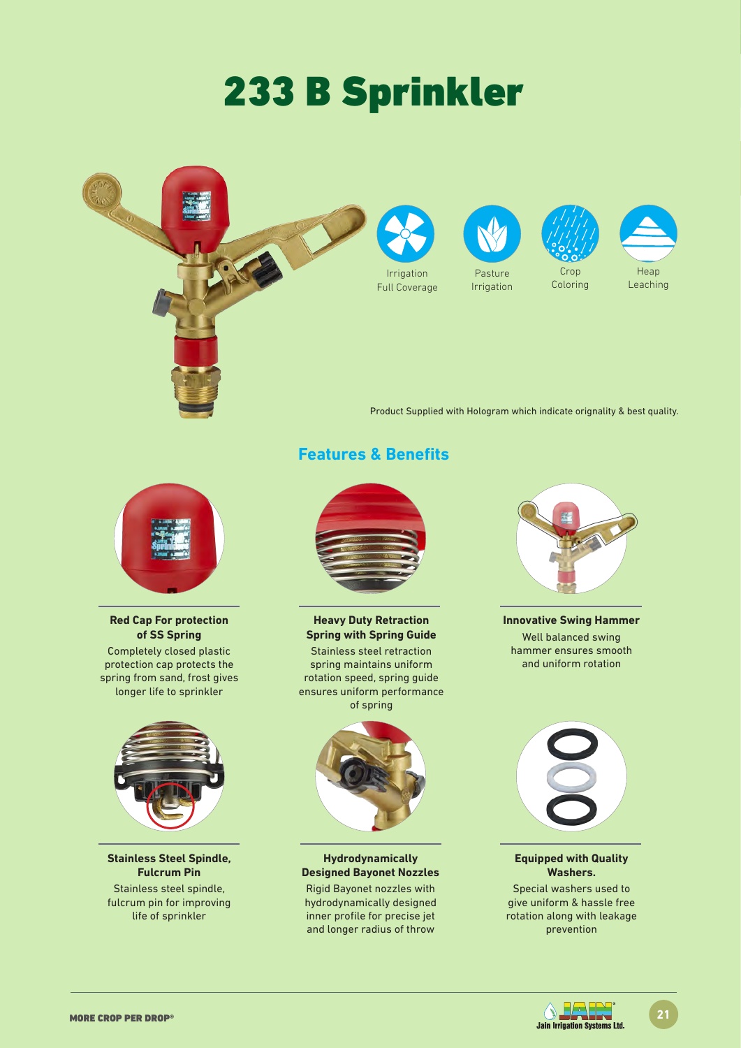# 233 B Sprinkler